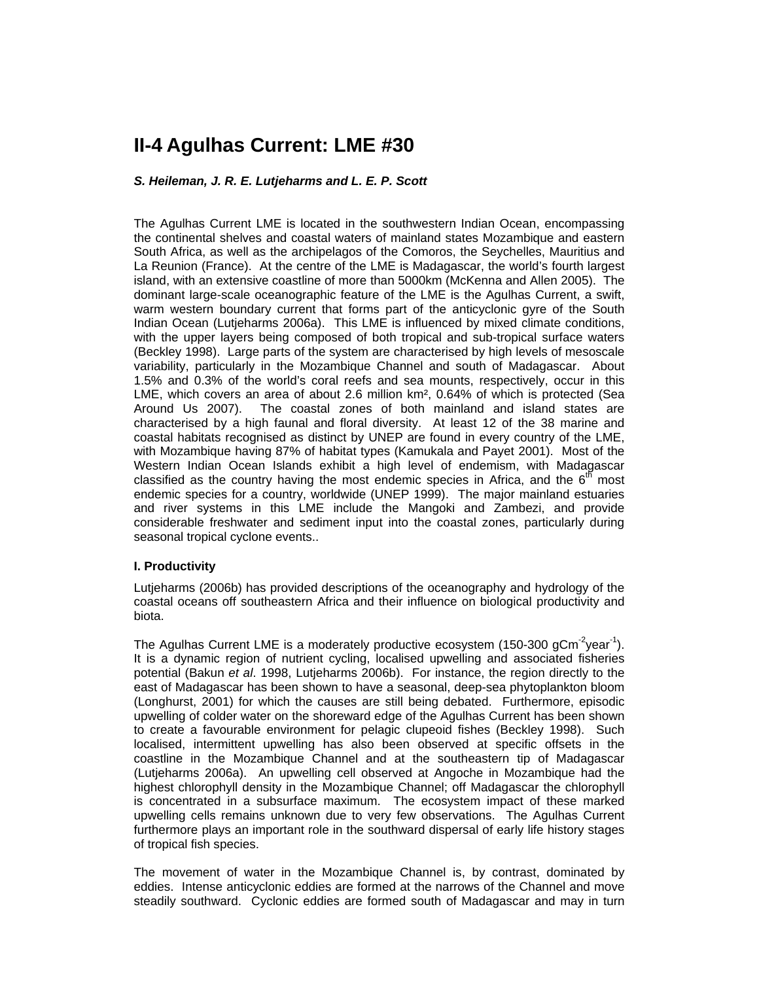# **II-4 Agulhas Current: LME #30**

### *S. Heileman, J. R. E. Lutjeharms and L. E. P. Scott*

The Agulhas Current LME is located in the southwestern Indian Ocean, encompassing the continental shelves and coastal waters of mainland states Mozambique and eastern South Africa, as well as the archipelagos of the Comoros, the Seychelles, Mauritius and La Reunion (France). At the centre of the LME is Madagascar, the world's fourth largest island, with an extensive coastline of more than 5000km (McKenna and Allen 2005). The dominant large-scale oceanographic feature of the LME is the Agulhas Current, a swift, warm western boundary current that forms part of the anticyclonic gyre of the South Indian Ocean (Lutjeharms 2006a). This LME is influenced by mixed climate conditions, with the upper layers being composed of both tropical and sub-tropical surface waters (Beckley 1998). Large parts of the system are characterised by high levels of mesoscale variability, particularly in the Mozambique Channel and south of Madagascar. About 1.5% and 0.3% of the world's coral reefs and sea mounts, respectively, occur in this LME, which covers an area of about 2.6 million km², 0.64% of which is protected (Sea Around Us 2007). The coastal zones of both mainland and island states are characterised by a high faunal and floral diversity. At least 12 of the 38 marine and coastal habitats recognised as distinct by UNEP are found in every country of the LME, with Mozambique having 87% of habitat types (Kamukala and Payet 2001). Most of the Western Indian Ocean Islands exhibit a high level of endemism, with Madagascar classified as the country having the most endemic species in Africa, and the  $6<sup>th</sup>$  most endemic species for a country, worldwide (UNEP 1999). The major mainland estuaries and river systems in this LME include the Mangoki and Zambezi, and provide considerable freshwater and sediment input into the coastal zones, particularly during seasonal tropical cyclone events..

#### **I. Productivity**

Lutjeharms (2006b) has provided descriptions of the oceanography and hydrology of the coastal oceans off southeastern Africa and their influence on biological productivity and biota.

The Agulhas Current LME is a moderately productive ecosystem (150-300 gCm<sup>-2</sup>year<sup>-1</sup>). It is a dynamic region of nutrient cycling, localised upwelling and associated fisheries potential (Bakun *et al*. 1998, Lutjeharms 2006b). For instance, the region directly to the east of Madagascar has been shown to have a seasonal, deep-sea phytoplankton bloom (Longhurst, 2001) for which the causes are still being debated. Furthermore, episodic upwelling of colder water on the shoreward edge of the Agulhas Current has been shown to create a favourable environment for pelagic clupeoid fishes (Beckley 1998). Such localised, intermittent upwelling has also been observed at specific offsets in the coastline in the Mozambique Channel and at the southeastern tip of Madagascar (Lutjeharms 2006a). An upwelling cell observed at Angoche in Mozambique had the highest chlorophyll density in the Mozambique Channel; off Madagascar the chlorophyll is concentrated in a subsurface maximum. The ecosystem impact of these marked upwelling cells remains unknown due to very few observations. The Agulhas Current furthermore plays an important role in the southward dispersal of early life history stages of tropical fish species.

The movement of water in the Mozambique Channel is, by contrast, dominated by eddies. Intense anticyclonic eddies are formed at the narrows of the Channel and move steadily southward. Cyclonic eddies are formed south of Madagascar and may in turn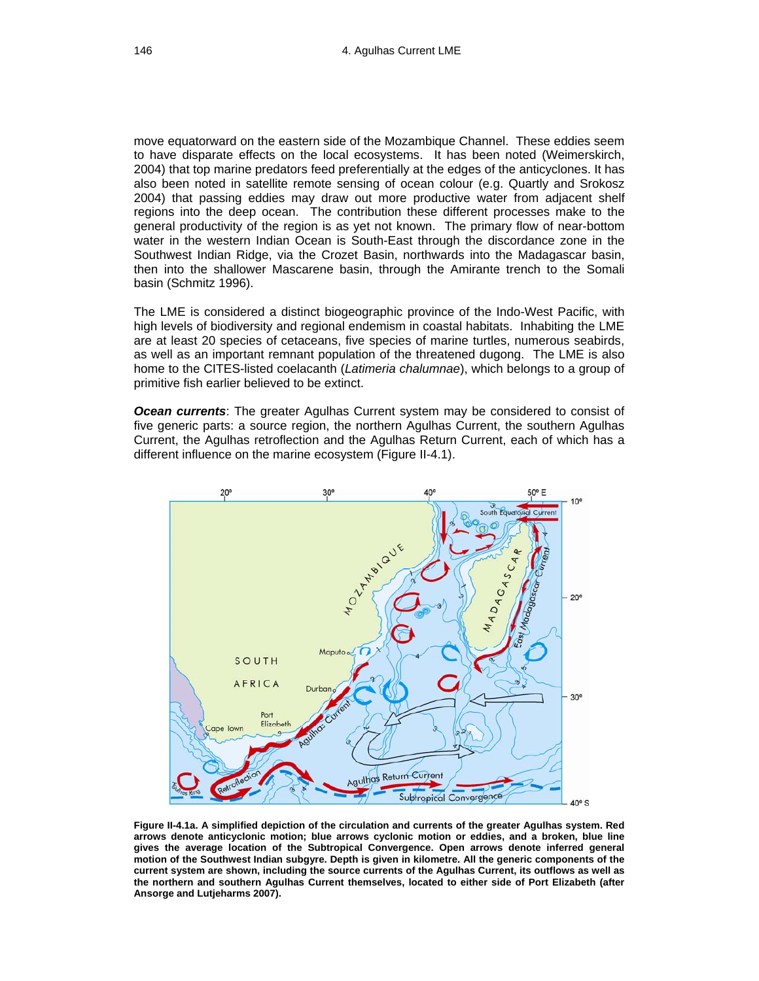move equatorward on the eastern side of the Mozambique Channel. These eddies seem to have disparate effects on the local ecosystems. It has been noted (Weimerskirch, 2004) that top marine predators feed preferentially at the edges of the anticyclones. It has also been noted in satellite remote sensing of ocean colour (e.g. Quartly and Srokosz 2004) that passing eddies may draw out more productive water from adjacent shelf regions into the deep ocean. The contribution these different processes make to the general productivity of the region is as yet not known. The primary flow of near-bottom water in the western Indian Ocean is South-East through the discordance zone in the Southwest Indian Ridge, via the Crozet Basin, northwards into the Madagascar basin, then into the shallower Mascarene basin, through the Amirante trench to the Somali basin (Schmitz 1996).

The LME is considered a distinct biogeographic province of the Indo-West Pacific, with high levels of biodiversity and regional endemism in coastal habitats. Inhabiting the LME are at least 20 species of cetaceans, five species of marine turtles, numerous seabirds, as well as an important remnant population of the threatened dugong. The LME is also home to the CITES-listed coelacanth (*Latimeria chalumnae*), which belongs to a group of primitive fish earlier believed to be extinct.

*Ocean currents*: The greater Agulhas Current system may be considered to consist of five generic parts: a source region, the northern Agulhas Current, the southern Agulhas Current, the Agulhas retroflection and the Agulhas Return Current, each of which has a different influence on the marine ecosystem (Figure II-4.1).



**Figure II-4.1a. A simplified depiction of the circulation and currents of the greater Agulhas system. Red arrows denote anticyclonic motion; blue arrows cyclonic motion or eddies, and a broken, blue line gives the average location of the Subtropical Convergence. Open arrows denote inferred general motion of the Southwest Indian subgyre. Depth is given in kilometre. All the generic components of the current system are shown, including the source currents of the Agulhas Current, its outflows as well as the northern and southern Agulhas Current themselves, located to either side of Port Elizabeth (after Ansorge and Lutjeharms 2007).**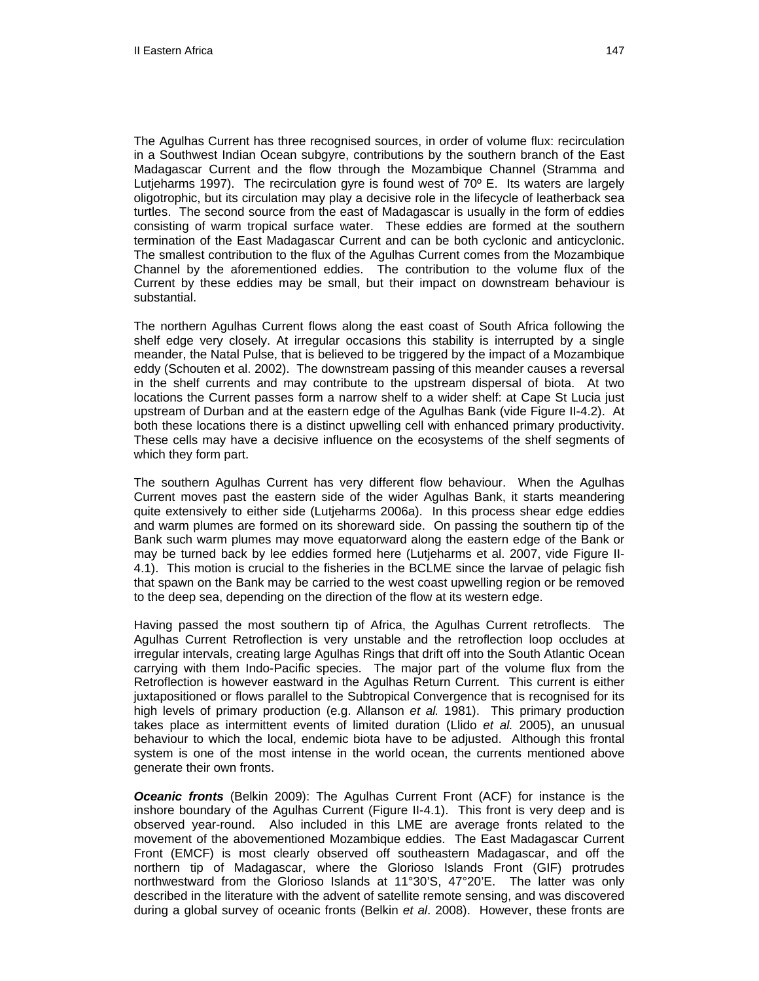The Agulhas Current has three recognised sources, in order of volume flux: recirculation in a Southwest Indian Ocean subgyre, contributions by the southern branch of the East Madagascar Current and the flow through the Mozambique Channel (Stramma and Lutieharms 1997). The recirculation gyre is found west of  $70^{\circ}$  E. Its waters are largely oligotrophic, but its circulation may play a decisive role in the lifecycle of leatherback sea turtles. The second source from the east of Madagascar is usually in the form of eddies consisting of warm tropical surface water. These eddies are formed at the southern termination of the East Madagascar Current and can be both cyclonic and anticyclonic. The smallest contribution to the flux of the Agulhas Current comes from the Mozambique Channel by the aforementioned eddies. The contribution to the volume flux of the Current by these eddies may be small, but their impact on downstream behaviour is substantial.

The northern Agulhas Current flows along the east coast of South Africa following the shelf edge very closely. At irregular occasions this stability is interrupted by a single meander, the Natal Pulse, that is believed to be triggered by the impact of a Mozambique eddy (Schouten et al. 2002). The downstream passing of this meander causes a reversal in the shelf currents and may contribute to the upstream dispersal of biota. At two locations the Current passes form a narrow shelf to a wider shelf: at Cape St Lucia just upstream of Durban and at the eastern edge of the Agulhas Bank (vide Figure II-4.2). At both these locations there is a distinct upwelling cell with enhanced primary productivity. These cells may have a decisive influence on the ecosystems of the shelf segments of which they form part.

The southern Agulhas Current has very different flow behaviour. When the Agulhas Current moves past the eastern side of the wider Agulhas Bank, it starts meandering quite extensively to either side (Lutjeharms 2006a). In this process shear edge eddies and warm plumes are formed on its shoreward side. On passing the southern tip of the Bank such warm plumes may move equatorward along the eastern edge of the Bank or may be turned back by lee eddies formed here (Lutjeharms et al. 2007, vide Figure II-4.1). This motion is crucial to the fisheries in the BCLME since the larvae of pelagic fish that spawn on the Bank may be carried to the west coast upwelling region or be removed to the deep sea, depending on the direction of the flow at its western edge.

Having passed the most southern tip of Africa, the Agulhas Current retroflects. The Agulhas Current Retroflection is very unstable and the retroflection loop occludes at irregular intervals, creating large Agulhas Rings that drift off into the South Atlantic Ocean carrying with them Indo-Pacific species. The major part of the volume flux from the Retroflection is however eastward in the Agulhas Return Current. This current is either juxtapositioned or flows parallel to the Subtropical Convergence that is recognised for its high levels of primary production (e.g. Allanson *et al.* 1981). This primary production takes place as intermittent events of limited duration (Llido *et al.* 2005), an unusual behaviour to which the local, endemic biota have to be adjusted. Although this frontal system is one of the most intense in the world ocean, the currents mentioned above generate their own fronts.

*Oceanic fronts* (Belkin 2009): The Agulhas Current Front (ACF) for instance is the inshore boundary of the Agulhas Current (Figure II-4.1). This front is very deep and is observed year-round. Also included in this LME are average fronts related to the movement of the abovementioned Mozambique eddies. The East Madagascar Current Front (EMCF) is most clearly observed off southeastern Madagascar, and off the northern tip of Madagascar, where the Glorioso Islands Front (GIF) protrudes northwestward from the Glorioso Islands at 11°30'S, 47°20'E. The latter was only described in the literature with the advent of satellite remote sensing, and was discovered during a global survey of oceanic fronts (Belkin *et al*. 2008). However, these fronts are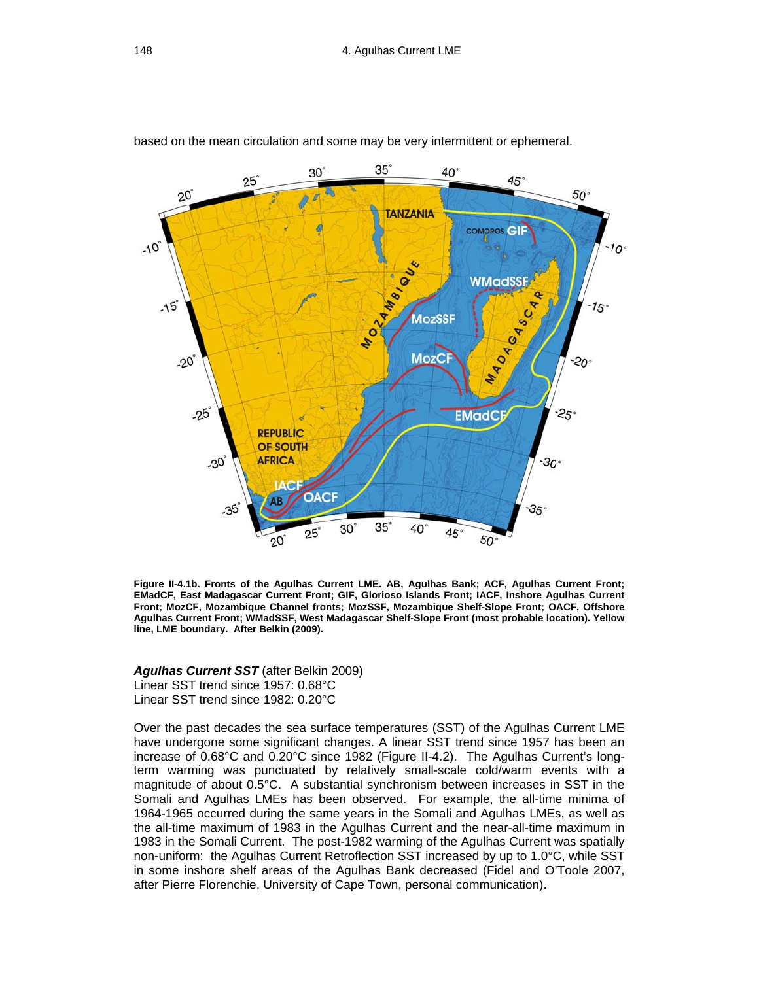based on the mean circulation and some may be very intermittent or ephemeral.



**Figure II-4.1b. Fronts of the Agulhas Current LME. AB, Agulhas Bank; ACF, Agulhas Current Front; EMadCF, East Madagascar Current Front; GIF, Glorioso Islands Front; IACF, Inshore Agulhas Current Front; MozCF, Mozambique Channel fronts; MozSSF, Mozambique Shelf-Slope Front; OACF, Offshore Agulhas Current Front; WMadSSF, West Madagascar Shelf-Slope Front (most probable location). Yellow line, LME boundary. After Belkin (2009).** 

*Agulhas Current SST* (after Belkin 2009) Linear SST trend since 1957: 0.68°C Linear SST trend since 1982: 0.20°C

Over the past decades the sea surface temperatures (SST) of the Agulhas Current LME have undergone some significant changes. A linear SST trend since 1957 has been an increase of 0.68°C and 0.20°C since 1982 (Figure II-4.2). The Agulhas Current's longterm warming was punctuated by relatively small-scale cold/warm events with a magnitude of about 0.5°C. A substantial synchronism between increases in SST in the Somali and Agulhas LMEs has been observed. For example, the all-time minima of 1964-1965 occurred during the same years in the Somali and Agulhas LMEs, as well as the all-time maximum of 1983 in the Agulhas Current and the near-all-time maximum in 1983 in the Somali Current. The post-1982 warming of the Agulhas Current was spatially non-uniform: the Agulhas Current Retroflection SST increased by up to 1.0°C, while SST in some inshore shelf areas of the Agulhas Bank decreased (Fidel and O'Toole 2007, after Pierre Florenchie, University of Cape Town, personal communication).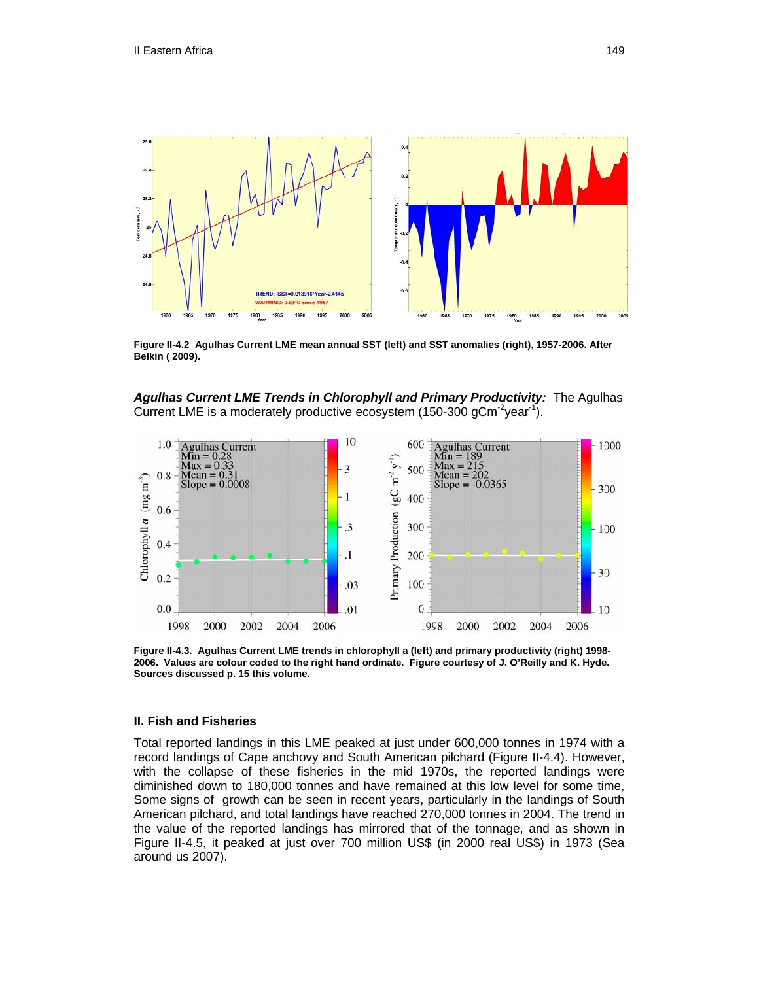

**Figure II-4.2 Agulhas Current LME mean annual SST (left) and SST anomalies (right), 1957-2006. After Belkin ( 2009).** 





**Figure II-4.3. Agulhas Current LME trends in chlorophyll a (left) and primary productivity (right) 1998- 2006. Values are colour coded to the right hand ordinate. Figure courtesy of J. O'Reilly and K. Hyde. Sources discussed p. 15 this volume.**

#### **II. Fish and Fisheries**

Total reported landings in this LME peaked at just under 600,000 tonnes in 1974 with a record landings of Cape anchovy and South American pilchard (Figure II-4.4). However, with the collapse of these fisheries in the mid 1970s, the reported landings were diminished down to 180,000 tonnes and have remained at this low level for some time, Some signs of growth can be seen in recent years, particularly in the landings of South American pilchard, and total landings have reached 270,000 tonnes in 2004. The trend in the value of the reported landings has mirrored that of the tonnage, and as shown in Figure II-4.5, it peaked at just over 700 million US\$ (in 2000 real US\$) in 1973 (Sea around us 2007).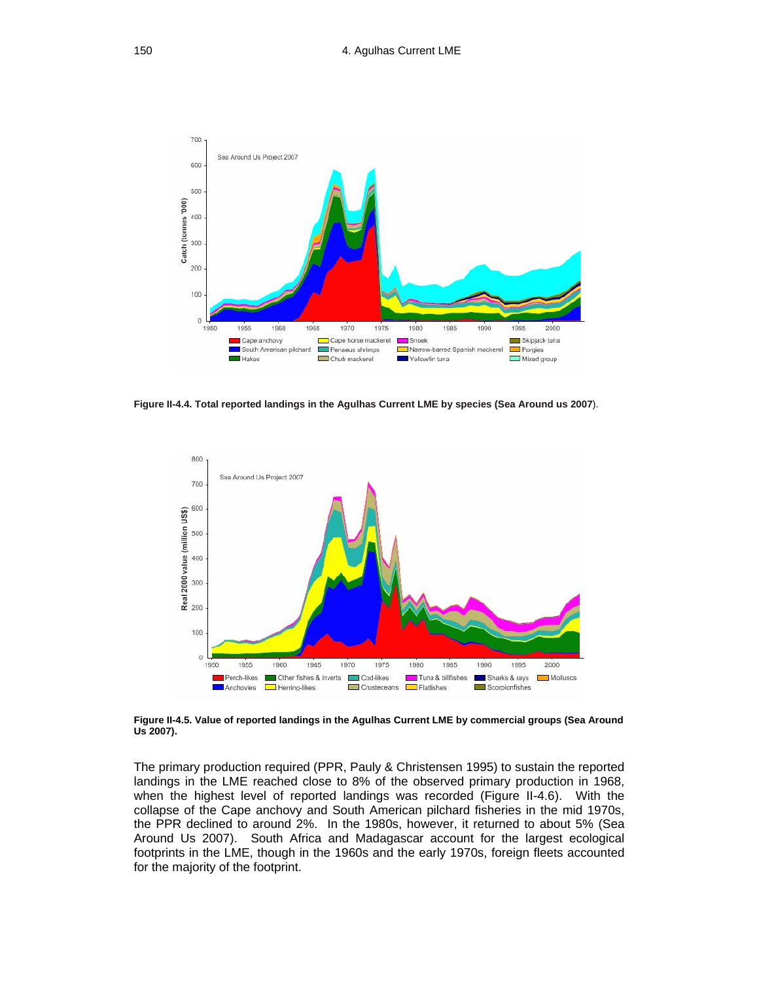

**Figure II-4.4. Total reported landings in the Agulhas Current LME by species (Sea Around us 2007**).



**Figure II-4.5. Value of reported landings in the Agulhas Current LME by commercial groups (Sea Around Us 2007).** 

The primary production required (PPR, Pauly & Christensen 1995) to sustain the reported landings in the LME reached close to 8% of the observed primary production in 1968, when the highest level of reported landings was recorded (Figure II-4.6). With the collapse of the Cape anchovy and South American pilchard fisheries in the mid 1970s, the PPR declined to around 2%. In the 1980s, however, it returned to about 5% (Sea Around Us 2007). South Africa and Madagascar account for the largest ecological footprints in the LME, though in the 1960s and the early 1970s, foreign fleets accounted for the majority of the footprint.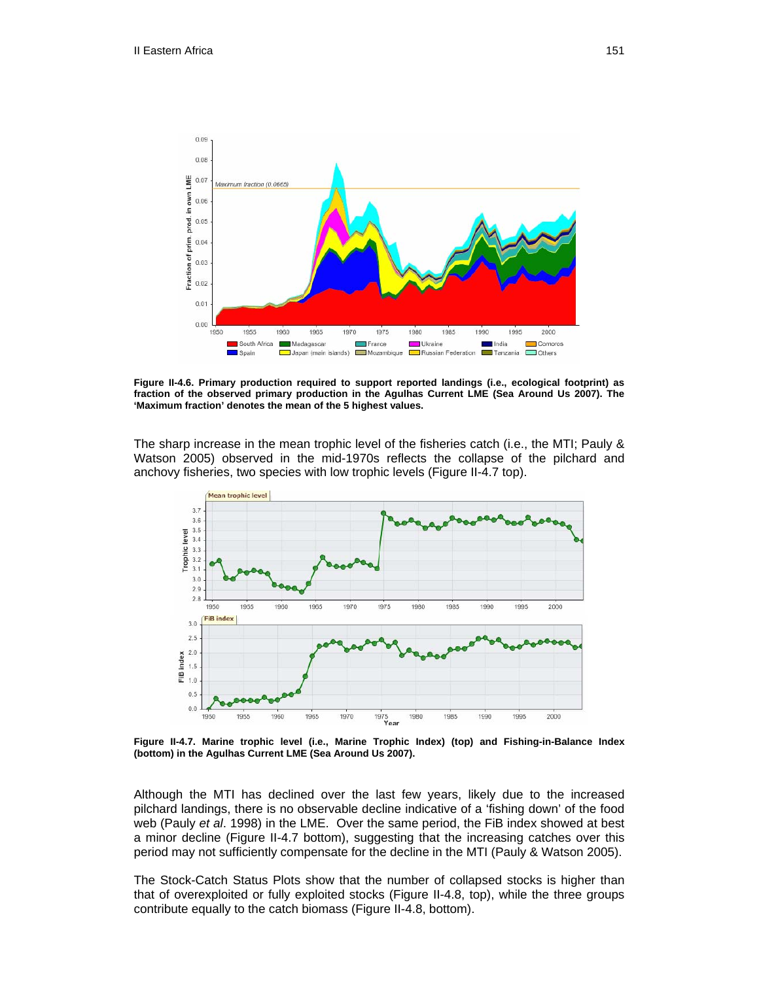

**Figure II-4.6. Primary production required to support reported landings (i.e., ecological footprint) as fraction of the observed primary production in the Agulhas Current LME (Sea Around Us 2007). The 'Maximum fraction' denotes the mean of the 5 highest values.** 

The sharp increase in the mean trophic level of the fisheries catch (i.e., the MTI; Pauly & Watson 2005) observed in the mid-1970s reflects the collapse of the pilchard and anchovy fisheries, two species with low trophic levels (Figure II-4.7 top).



**Figure II-4.7. Marine trophic level (i.e., Marine Trophic Index) (top) and Fishing-in-Balance Index (bottom) in the Agulhas Current LME (Sea Around Us 2007).** 

Although the MTI has declined over the last few years, likely due to the increased pilchard landings, there is no observable decline indicative of a 'fishing down' of the food web (Pauly *et al*. 1998) in the LME. Over the same period, the FiB index showed at best a minor decline (Figure II-4.7 bottom), suggesting that the increasing catches over this period may not sufficiently compensate for the decline in the MTI (Pauly & Watson 2005).

The Stock-Catch Status Plots show that the number of collapsed stocks is higher than that of overexploited or fully exploited stocks (Figure II-4.8, top), while the three groups contribute equally to the catch biomass (Figure II-4.8, bottom).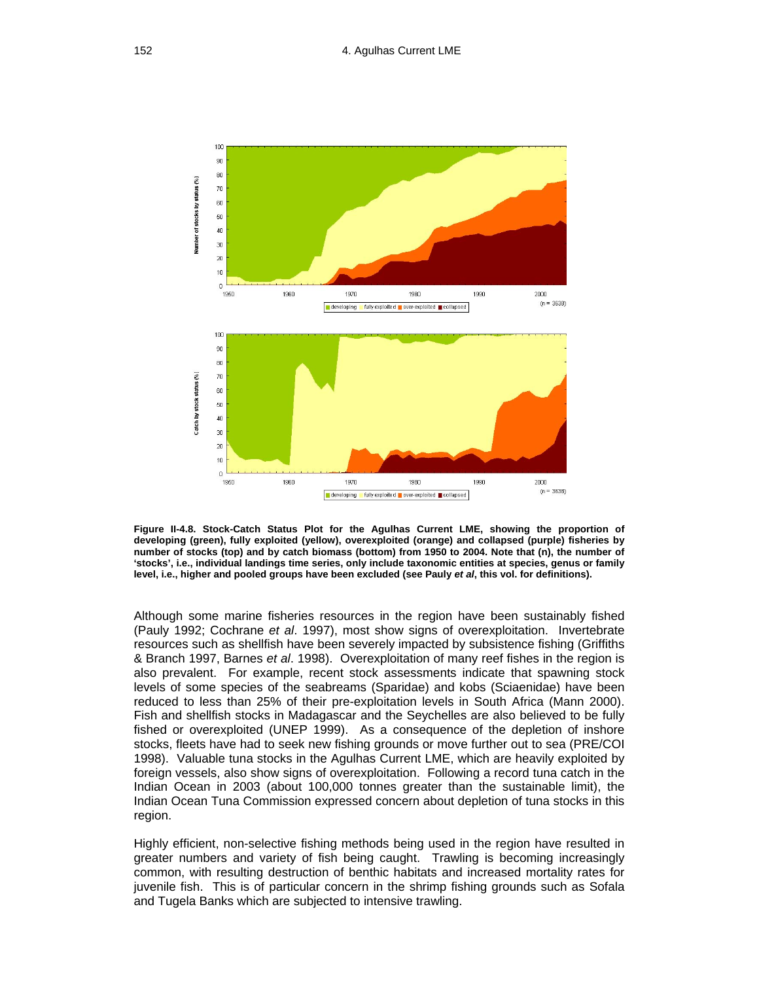

**Figure II-4.8. Stock-Catch Status Plot for the Agulhas Current LME, showing the proportion of developing (green), fully exploited (yellow), overexploited (orange) and collapsed (purple) fisheries by number of stocks (top) and by catch biomass (bottom) from 1950 to 2004. Note that (n), the number of 'stocks', i.e., individual landings time series, only include taxonomic entities at species, genus or family level, i.e., higher and pooled groups have been excluded (see Pauly** *et al***, this vol. for definitions).** 

Although some marine fisheries resources in the region have been sustainably fished (Pauly 1992; Cochrane *et al*. 1997), most show signs of overexploitation. Invertebrate resources such as shellfish have been severely impacted by subsistence fishing (Griffiths & Branch 1997, Barnes *et al*. 1998). Overexploitation of many reef fishes in the region is also prevalent. For example, recent stock assessments indicate that spawning stock levels of some species of the seabreams (Sparidae) and kobs (Sciaenidae) have been reduced to less than 25% of their pre-exploitation levels in South Africa (Mann 2000). Fish and shellfish stocks in Madagascar and the Seychelles are also believed to be fully fished or overexploited (UNEP 1999). As a consequence of the depletion of inshore stocks, fleets have had to seek new fishing grounds or move further out to sea (PRE/COI 1998). Valuable tuna stocks in the Agulhas Current LME, which are heavily exploited by foreign vessels, also show signs of overexploitation. Following a record tuna catch in the Indian Ocean in 2003 (about 100,000 tonnes greater than the sustainable limit), the Indian Ocean Tuna Commission expressed concern about depletion of tuna stocks in this region.

Highly efficient, non-selective fishing methods being used in the region have resulted in greater numbers and variety of fish being caught. Trawling is becoming increasingly common, with resulting destruction of benthic habitats and increased mortality rates for juvenile fish. This is of particular concern in the shrimp fishing grounds such as Sofala and Tugela Banks which are subjected to intensive trawling.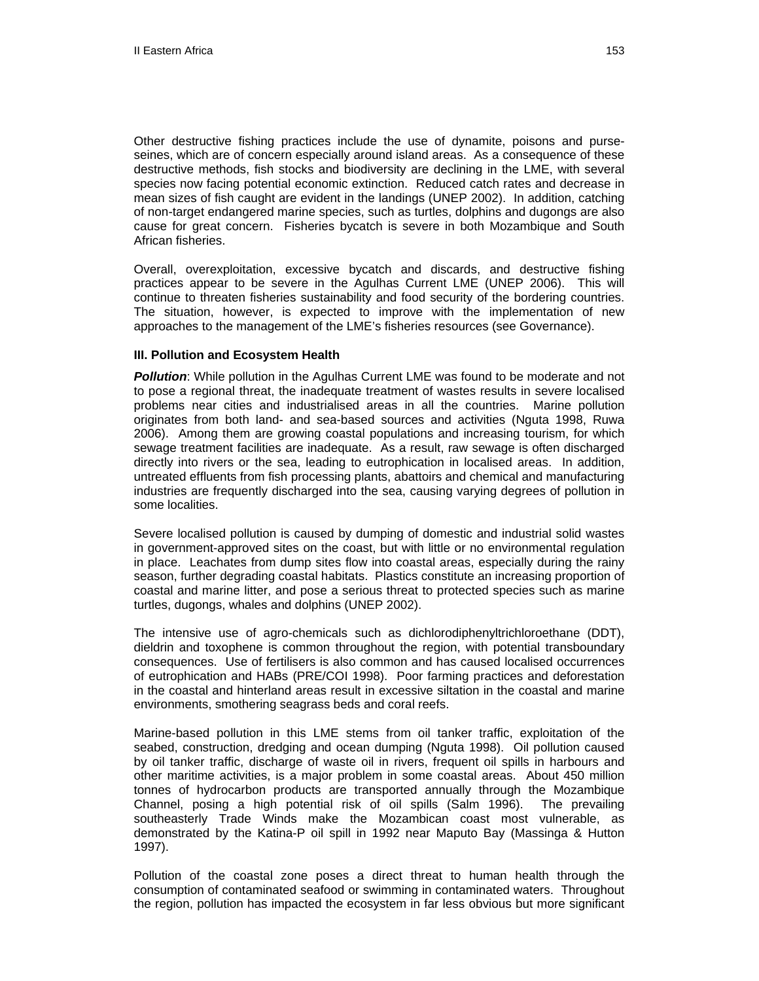Other destructive fishing practices include the use of dynamite, poisons and purseseines, which are of concern especially around island areas. As a consequence of these destructive methods, fish stocks and biodiversity are declining in the LME, with several species now facing potential economic extinction. Reduced catch rates and decrease in mean sizes of fish caught are evident in the landings (UNEP 2002). In addition, catching of non-target endangered marine species, such as turtles, dolphins and dugongs are also cause for great concern. Fisheries bycatch is severe in both Mozambique and South African fisheries.

Overall, overexploitation, excessive bycatch and discards, and destructive fishing practices appear to be severe in the Agulhas Current LME (UNEP 2006). This will continue to threaten fisheries sustainability and food security of the bordering countries. The situation, however, is expected to improve with the implementation of new approaches to the management of the LME's fisheries resources (see Governance).

#### **III. Pollution and Ecosystem Health**

*Pollution*: While pollution in the Agulhas Current LME was found to be moderate and not to pose a regional threat, the inadequate treatment of wastes results in severe localised problems near cities and industrialised areas in all the countries. Marine pollution originates from both land- and sea-based sources and activities (Nguta 1998, Ruwa 2006). Among them are growing coastal populations and increasing tourism, for which sewage treatment facilities are inadequate. As a result, raw sewage is often discharged directly into rivers or the sea, leading to eutrophication in localised areas. In addition, untreated effluents from fish processing plants, abattoirs and chemical and manufacturing industries are frequently discharged into the sea, causing varying degrees of pollution in some localities.

Severe localised pollution is caused by dumping of domestic and industrial solid wastes in government-approved sites on the coast, but with little or no environmental regulation in place. Leachates from dump sites flow into coastal areas, especially during the rainy season, further degrading coastal habitats. Plastics constitute an increasing proportion of coastal and marine litter, and pose a serious threat to protected species such as marine turtles, dugongs, whales and dolphins (UNEP 2002).

The intensive use of agro-chemicals such as dichlorodiphenyltrichloroethane (DDT), dieldrin and toxophene is common throughout the region, with potential transboundary consequences. Use of fertilisers is also common and has caused localised occurrences of eutrophication and HABs (PRE/COI 1998). Poor farming practices and deforestation in the coastal and hinterland areas result in excessive siltation in the coastal and marine environments, smothering seagrass beds and coral reefs.

Marine-based pollution in this LME stems from oil tanker traffic, exploitation of the seabed, construction, dredging and ocean dumping (Nguta 1998). Oil pollution caused by oil tanker traffic, discharge of waste oil in rivers, frequent oil spills in harbours and other maritime activities, is a major problem in some coastal areas. About 450 million tonnes of hydrocarbon products are transported annually through the Mozambique Channel, posing a high potential risk of oil spills (Salm 1996). The prevailing southeasterly Trade Winds make the Mozambican coast most vulnerable, as demonstrated by the Katina-P oil spill in 1992 near Maputo Bay (Massinga & Hutton 1997).

Pollution of the coastal zone poses a direct threat to human health through the consumption of contaminated seafood or swimming in contaminated waters. Throughout the region, pollution has impacted the ecosystem in far less obvious but more significant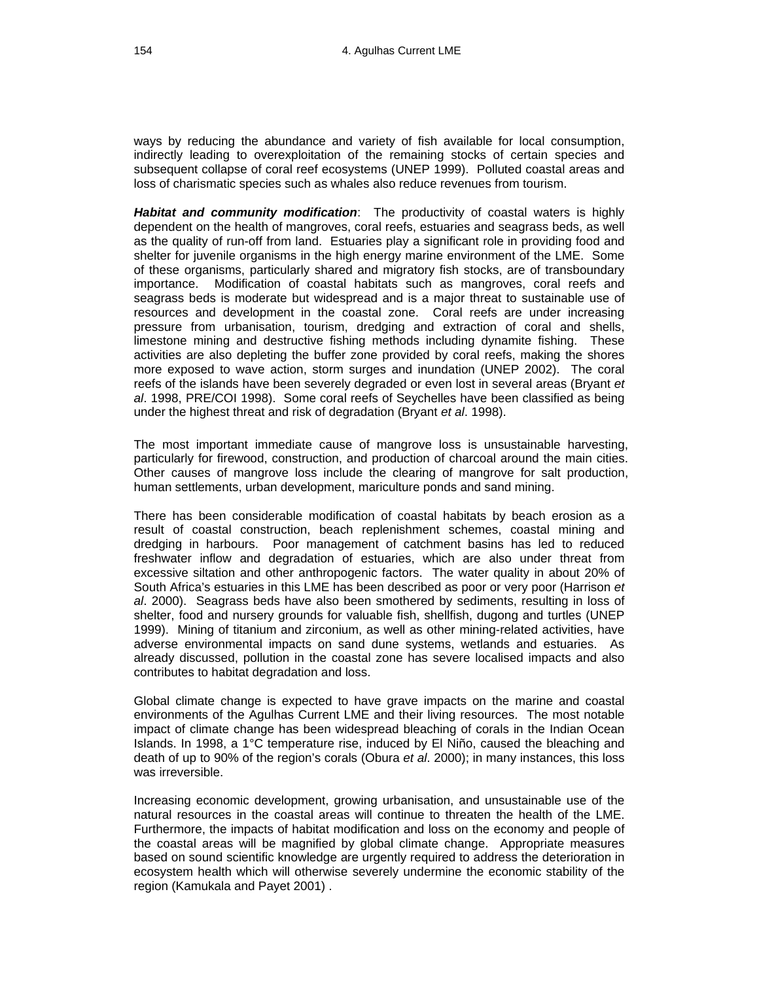ways by reducing the abundance and variety of fish available for local consumption, indirectly leading to overexploitation of the remaining stocks of certain species and subsequent collapse of coral reef ecosystems (UNEP 1999). Polluted coastal areas and loss of charismatic species such as whales also reduce revenues from tourism.

*Habitat and community modification*: The productivity of coastal waters is highly dependent on the health of mangroves, coral reefs, estuaries and seagrass beds, as well as the quality of run-off from land. Estuaries play a significant role in providing food and shelter for juvenile organisms in the high energy marine environment of the LME. Some of these organisms, particularly shared and migratory fish stocks, are of transboundary importance. Modification of coastal habitats such as mangroves, coral reefs and seagrass beds is moderate but widespread and is a major threat to sustainable use of resources and development in the coastal zone. Coral reefs are under increasing pressure from urbanisation, tourism, dredging and extraction of coral and shells, limestone mining and destructive fishing methods including dynamite fishing. These activities are also depleting the buffer zone provided by coral reefs, making the shores more exposed to wave action, storm surges and inundation (UNEP 2002). The coral reefs of the islands have been severely degraded or even lost in several areas (Bryant *et al*. 1998, PRE/COI 1998). Some coral reefs of Seychelles have been classified as being under the highest threat and risk of degradation (Bryant *et al*. 1998).

The most important immediate cause of mangrove loss is unsustainable harvesting, particularly for firewood, construction, and production of charcoal around the main cities. Other causes of mangrove loss include the clearing of mangrove for salt production, human settlements, urban development, mariculture ponds and sand mining.

There has been considerable modification of coastal habitats by beach erosion as a result of coastal construction, beach replenishment schemes, coastal mining and dredging in harbours. Poor management of catchment basins has led to reduced freshwater inflow and degradation of estuaries, which are also under threat from excessive siltation and other anthropogenic factors. The water quality in about 20% of South Africa's estuaries in this LME has been described as poor or very poor (Harrison *et al*. 2000). Seagrass beds have also been smothered by sediments, resulting in loss of shelter, food and nursery grounds for valuable fish, shellfish, dugong and turtles (UNEP 1999). Mining of titanium and zirconium, as well as other mining-related activities, have adverse environmental impacts on sand dune systems, wetlands and estuaries. As already discussed, pollution in the coastal zone has severe localised impacts and also contributes to habitat degradation and loss.

Global climate change is expected to have grave impacts on the marine and coastal environments of the Agulhas Current LME and their living resources. The most notable impact of climate change has been widespread bleaching of corals in the Indian Ocean Islands. In 1998, a 1°C temperature rise, induced by El Niño, caused the bleaching and death of up to 90% of the region's corals (Obura *et al*. 2000); in many instances, this loss was irreversible.

Increasing economic development, growing urbanisation, and unsustainable use of the natural resources in the coastal areas will continue to threaten the health of the LME. Furthermore, the impacts of habitat modification and loss on the economy and people of the coastal areas will be magnified by global climate change. Appropriate measures based on sound scientific knowledge are urgently required to address the deterioration in ecosystem health which will otherwise severely undermine the economic stability of the region (Kamukala and Payet 2001) .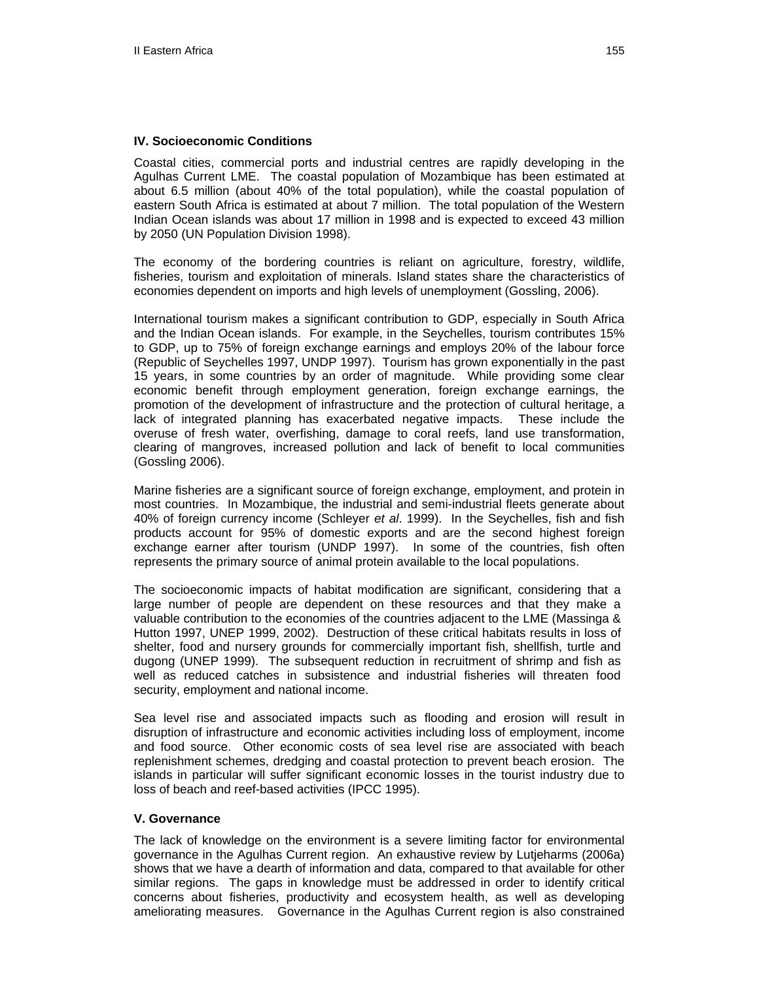#### **IV. Socioeconomic Conditions**

Coastal cities, commercial ports and industrial centres are rapidly developing in the Agulhas Current LME. The coastal population of Mozambique has been estimated at about 6.5 million (about 40% of the total population), while the coastal population of eastern South Africa is estimated at about 7 million. The total population of the Western Indian Ocean islands was about 17 million in 1998 and is expected to exceed 43 million by 2050 (UN Population Division 1998).

The economy of the bordering countries is reliant on agriculture, forestry, wildlife, fisheries, tourism and exploitation of minerals. Island states share the characteristics of economies dependent on imports and high levels of unemployment (Gossling, 2006).

International tourism makes a significant contribution to GDP, especially in South Africa and the Indian Ocean islands. For example, in the Seychelles, tourism contributes 15% to GDP, up to 75% of foreign exchange earnings and employs 20% of the labour force (Republic of Seychelles 1997, UNDP 1997). Tourism has grown exponentially in the past 15 years, in some countries by an order of magnitude. While providing some clear economic benefit through employment generation, foreign exchange earnings, the promotion of the development of infrastructure and the protection of cultural heritage, a lack of integrated planning has exacerbated negative impacts. These include the overuse of fresh water, overfishing, damage to coral reefs, land use transformation, clearing of mangroves, increased pollution and lack of benefit to local communities (Gossling 2006).

Marine fisheries are a significant source of foreign exchange, employment, and protein in most countries. In Mozambique, the industrial and semi-industrial fleets generate about 40% of foreign currency income (Schleyer *et al*. 1999). In the Seychelles, fish and fish products account for 95% of domestic exports and are the second highest foreign exchange earner after tourism (UNDP 1997). In some of the countries, fish often represents the primary source of animal protein available to the local populations.

The socioeconomic impacts of habitat modification are significant, considering that a large number of people are dependent on these resources and that they make a valuable contribution to the economies of the countries adjacent to the LME (Massinga & Hutton 1997, UNEP 1999, 2002). Destruction of these critical habitats results in loss of shelter, food and nursery grounds for commercially important fish, shellfish, turtle and dugong (UNEP 1999). The subsequent reduction in recruitment of shrimp and fish as well as reduced catches in subsistence and industrial fisheries will threaten food security, employment and national income.

Sea level rise and associated impacts such as flooding and erosion will result in disruption of infrastructure and economic activities including loss of employment, income and food source. Other economic costs of sea level rise are associated with beach replenishment schemes, dredging and coastal protection to prevent beach erosion. The islands in particular will suffer significant economic losses in the tourist industry due to loss of beach and reef-based activities (IPCC 1995).

#### **V. Governance**

The lack of knowledge on the environment is a severe limiting factor for environmental governance in the Agulhas Current region. An exhaustive review by Lutjeharms (2006a) shows that we have a dearth of information and data, compared to that available for other similar regions. The gaps in knowledge must be addressed in order to identify critical concerns about fisheries, productivity and ecosystem health, as well as developing ameliorating measures. Governance in the Agulhas Current region is also constrained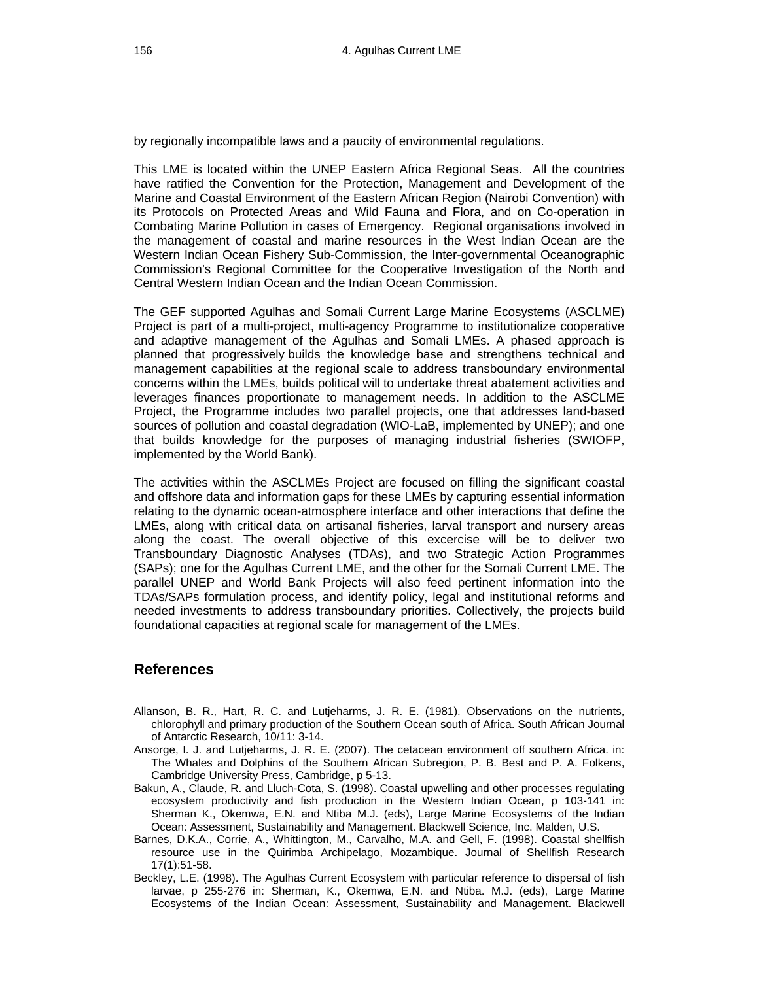by regionally incompatible laws and a paucity of environmental regulations.

This LME is located within the UNEP Eastern Africa Regional Seas. All the countries have ratified the Convention for the Protection, Management and Development of the Marine and Coastal Environment of the Eastern African Region (Nairobi Convention) with its Protocols on Protected Areas and Wild Fauna and Flora, and on Co-operation in Combating Marine Pollution in cases of Emergency. Regional organisations involved in the management of coastal and marine resources in the West Indian Ocean are the Western Indian Ocean Fishery Sub-Commission, the Inter-governmental Oceanographic Commission's Regional Committee for the Cooperative Investigation of the North and Central Western Indian Ocean and the Indian Ocean Commission.

The GEF supported Agulhas and Somali Current Large Marine Ecosystems (ASCLME) Project is part of a multi-project, multi-agency Programme to institutionalize cooperative and adaptive management of the Agulhas and Somali LMEs. A phased approach is planned that progressively builds the knowledge base and strengthens technical and management capabilities at the regional scale to address transboundary environmental concerns within the LMEs, builds political will to undertake threat abatement activities and leverages finances proportionate to management needs. In addition to the ASCLME Project, the Programme includes two parallel projects, one that addresses land-based sources of pollution and coastal degradation (WIO-LaB, implemented by UNEP); and one that builds knowledge for the purposes of managing industrial fisheries (SWIOFP, implemented by the World Bank).

The activities within the ASCLMEs Project are focused on filling the significant coastal and offshore data and information gaps for these LMEs by capturing essential information relating to the dynamic ocean-atmosphere interface and other interactions that define the LMEs, along with critical data on artisanal fisheries, larval transport and nursery areas along the coast. The overall objective of this excercise will be to deliver two Transboundary Diagnostic Analyses (TDAs), and two Strategic Action Programmes (SAPs); one for the Agulhas Current LME, and the other for the Somali Current LME. The parallel UNEP and World Bank Projects will also feed pertinent information into the TDAs/SAPs formulation process, and identify policy, legal and institutional reforms and needed investments to address transboundary priorities. Collectively, the projects build foundational capacities at regional scale for management of the LMEs.

## **References**

- Allanson, B. R., Hart, R. C. and Lutjeharms, J. R. E. (1981). Observations on the nutrients, chlorophyll and primary production of the Southern Ocean south of Africa. South African Journal of Antarctic Research, 10/11: 3-14.
- Ansorge, I. J. and Lutjeharms, J. R. E. (2007). The cetacean environment off southern Africa. in: The Whales and Dolphins of the Southern African Subregion, P. B. Best and P. A. Folkens, Cambridge University Press, Cambridge, p 5-13.
- Bakun, A., Claude, R. and Lluch-Cota, S. (1998). Coastal upwelling and other processes regulating ecosystem productivity and fish production in the Western Indian Ocean, p 103-141 in: Sherman K., Okemwa, E.N. and Ntiba M.J. (eds), Large Marine Ecosystems of the Indian Ocean: Assessment, Sustainability and Management. Blackwell Science, Inc. Malden, U.S.
- Barnes, D.K.A., Corrie, A., Whittington, M., Carvalho, M.A. and Gell, F. (1998). Coastal shellfish resource use in the Quirimba Archipelago, Mozambique. Journal of Shellfish Research 17(1):51-58.
- Beckley, L.E. (1998). The Agulhas Current Ecosystem with particular reference to dispersal of fish larvae, p 255-276 in: Sherman, K., Okemwa, E.N. and Ntiba. M.J. (eds), Large Marine Ecosystems of the Indian Ocean: Assessment, Sustainability and Management. Blackwell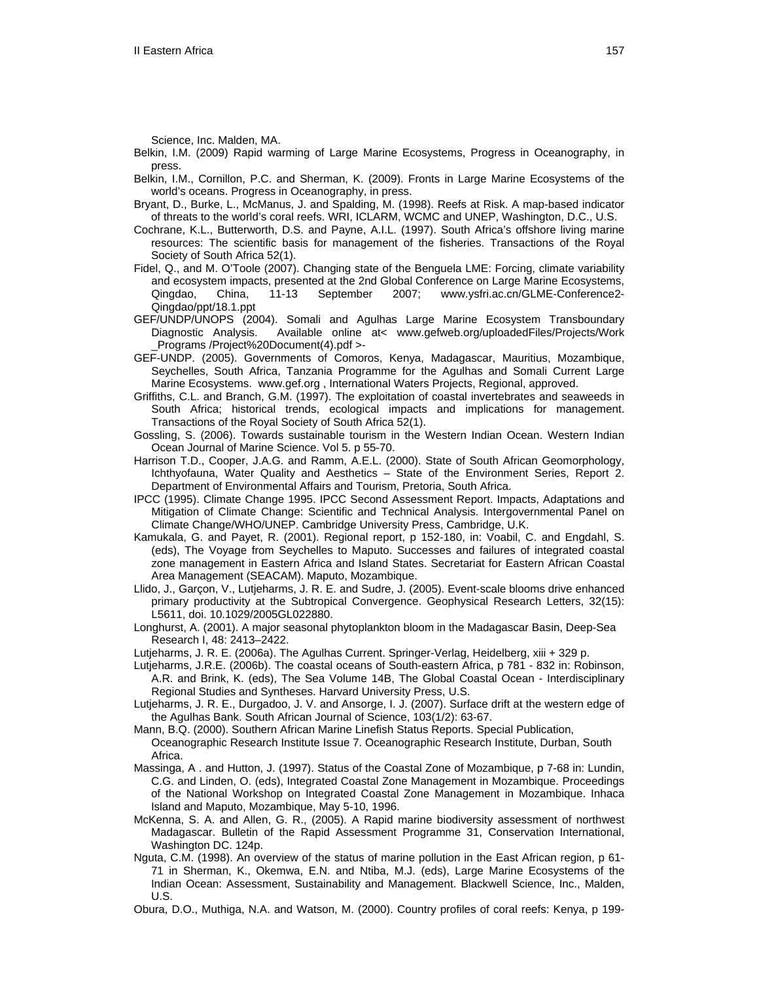Science, Inc. Malden, MA.

Belkin, I.M. (2009) Rapid warming of Large Marine Ecosystems, Progress in Oceanography, in press.

- Belkin, I.M., Cornillon, P.C. and Sherman, K. (2009). Fronts in Large Marine Ecosystems of the world's oceans. Progress in Oceanography, in press.
- Bryant, D., Burke, L., McManus, J. and Spalding, M. (1998). Reefs at Risk. A map-based indicator of threats to the world's coral reefs. WRI, ICLARM, WCMC and UNEP, Washington, D.C., U.S.
- Cochrane, K.L., Butterworth, D.S. and Payne, A.I.L. (1997). South Africa's offshore living marine resources: The scientific basis for management of the fisheries. Transactions of the Royal Society of South Africa 52(1).
- Fidel, Q., and M. O'Toole (2007). Changing state of the Benguela LME: Forcing, climate variability and ecosystem impacts, presented at the 2nd Global Conference on Large Marine Ecosystems, Qingdao, China, 11-13 September 2007; www.ysfri.ac.cn/GLME-Conference2- Qingdao/ppt/18.1.ppt
- GEF/UNDP/UNOPS (2004). Somali and Agulhas Large Marine Ecosystem Transboundary Diagnostic Analysis. Available online at< www.gefweb.org/uploadedFiles/Projects/Work \_Programs /Project%20Document(4).pdf >-
- GEF-UNDP. (2005). Governments of Comoros, Kenya, Madagascar, Mauritius, Mozambique, Seychelles, South Africa, Tanzania Programme for the Agulhas and Somali Current Large Marine Ecosystems. [www.gef.org](http://www.gef.org/) , International Waters Projects, Regional, approved.
- Griffiths, C.L. and Branch, G.M. (1997). The exploitation of coastal invertebrates and seaweeds in South Africa; historical trends, ecological impacts and implications for management. Transactions of the Royal Society of South Africa 52(1).
- Gossling, S. (2006). Towards sustainable tourism in the Western Indian Ocean. Western Indian Ocean Journal of Marine Science. Vol 5. p 55-70.
- Harrison T.D., Cooper, J.A.G. and Ramm, A.E.L. (2000). State of South African Geomorphology, Ichthyofauna, Water Quality and Aesthetics – State of the Environment Series, Report 2. Department of Environmental Affairs and Tourism, Pretoria, South Africa.
- IPCC (1995). Climate Change 1995. IPCC Second Assessment Report. Impacts, Adaptations and Mitigation of Climate Change: Scientific and Technical Analysis. Intergovernmental Panel on Climate Change/WHO/UNEP. Cambridge University Press, Cambridge, U.K.
- Kamukala, G. and Payet, R. (2001). Regional report, p 152-180, in: Voabil, C. and Engdahl, S. (eds), The Voyage from Seychelles to Maputo. Successes and failures of integrated coastal zone management in Eastern Africa and Island States. Secretariat for Eastern African Coastal Area Management (SEACAM). Maputo, Mozambique.
- Llido, J., Garçon, V., Lutjeharms, J. R. E. and Sudre, J. (2005). Event-scale blooms drive enhanced primary productivity at the Subtropical Convergence. Geophysical Research Letters, 32(15): L5611, doi. 10.1029/2005GL022880.
- Longhurst, A. (2001). A major seasonal phytoplankton bloom in the Madagascar Basin, Deep-Sea Research I, 48: 2413–2422.
- Lutjeharms, J. R. E. (2006a). The Agulhas Current. Springer-Verlag, Heidelberg, xiii + 329 p.

Lutjeharms, J.R.E. (2006b). The coastal oceans of South-eastern Africa, p 781 - 832 in: Robinson, A.R. and Brink, K. (eds), The Sea Volume 14B, The Global Coastal Ocean - Interdisciplinary Regional Studies and Syntheses. Harvard University Press, U.S.

- Lutjeharms, J. R. E., Durgadoo, J. V. and Ansorge, I. J. (2007). Surface drift at the western edge of the Agulhas Bank. South African Journal of Science, 103(1/2): 63-67.
- Mann, B.Q. (2000). Southern African Marine Linefish Status Reports. Special Publication, Oceanographic Research Institute Issue 7. Oceanographic Research Institute, Durban, South Africa.
- Massinga, A . and Hutton, J. (1997). Status of the Coastal Zone of Mozambique, p 7-68 in: Lundin, C.G. and Linden, O. (eds), Integrated Coastal Zone Management in Mozambique. Proceedings of the National Workshop on Integrated Coastal Zone Management in Mozambique. Inhaca Island and Maputo, Mozambique, May 5-10, 1996.
- McKenna, S. A. and Allen, G. R., (2005). A Rapid marine biodiversity assessment of northwest Madagascar. Bulletin of the Rapid Assessment Programme 31, Conservation International, Washington DC. 124p.
- Nguta, C.M. (1998). An overview of the status of marine pollution in the East African region, p 61- 71 in Sherman, K., Okemwa, E.N. and Ntiba, M.J. (eds), Large Marine Ecosystems of the Indian Ocean: Assessment, Sustainability and Management. Blackwell Science, Inc., Malden, U.S.
- Obura, D.O., Muthiga, N.A. and Watson, M. (2000). Country profiles of coral reefs: Kenya, p 199-